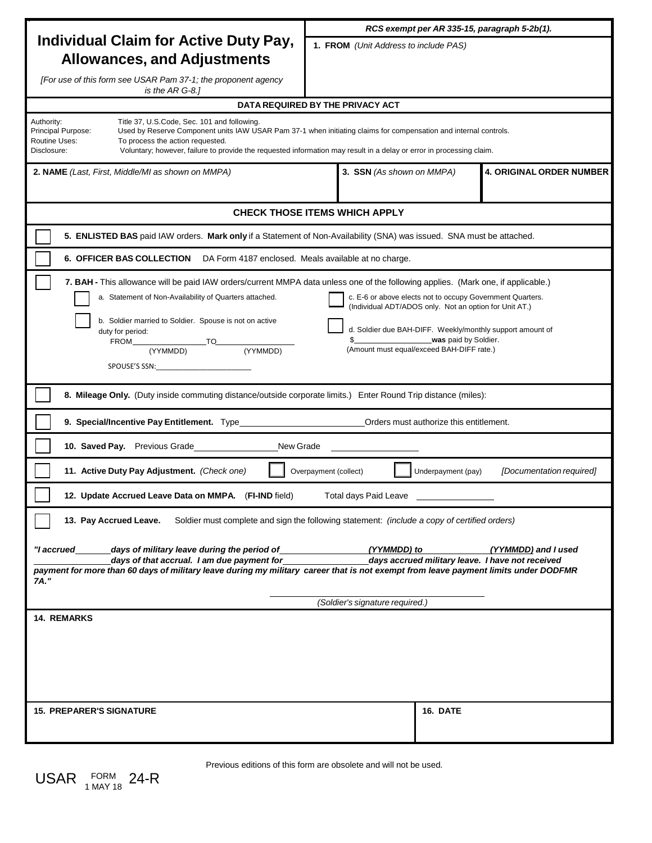|                                                                                                                                                                                                                                                                                                                                                                                                                                                                                                                                                                                                    | RCS exempt per AR 335-15, paragraph 5-2b(1).                 |
|----------------------------------------------------------------------------------------------------------------------------------------------------------------------------------------------------------------------------------------------------------------------------------------------------------------------------------------------------------------------------------------------------------------------------------------------------------------------------------------------------------------------------------------------------------------------------------------------------|--------------------------------------------------------------|
| <b>Individual Claim for Active Duty Pay,</b><br><b>Allowances, and Adjustments</b>                                                                                                                                                                                                                                                                                                                                                                                                                                                                                                                 | 1. FROM (Unit Address to include PAS)                        |
| [For use of this form see USAR Pam 37-1; the proponent agency<br>is the AR G-8.1                                                                                                                                                                                                                                                                                                                                                                                                                                                                                                                   |                                                              |
| DATA REQUIRED BY THE PRIVACY ACT                                                                                                                                                                                                                                                                                                                                                                                                                                                                                                                                                                   |                                                              |
| Authority:<br>Title 37, U.S.Code, Sec. 101 and following.<br>Principal Purpose:<br>Used by Reserve Component units IAW USAR Pam 37-1 when initiating claims for compensation and internal controls.<br>Routine Uses:<br>To process the action requested.<br>Disclosure:<br>Voluntary; however, failure to provide the requested information may result in a delay or error in processing claim.                                                                                                                                                                                                    |                                                              |
| <b>2. NAME</b> (Last, First, Middle/MI as shown on MMPA)                                                                                                                                                                                                                                                                                                                                                                                                                                                                                                                                           | <b>4. ORIGINAL ORDER NUMBER</b><br>3. SSN (As shown on MMPA) |
| <b>CHECK THOSE ITEMS WHICH APPLY</b>                                                                                                                                                                                                                                                                                                                                                                                                                                                                                                                                                               |                                                              |
| 5. ENLISTED BAS paid IAW orders. Mark only if a Statement of Non-Availability (SNA) was issued. SNA must be attached.                                                                                                                                                                                                                                                                                                                                                                                                                                                                              |                                                              |
| 6. OFFICER BAS COLLECTION DA Form 4187 enclosed. Meals available at no charge.                                                                                                                                                                                                                                                                                                                                                                                                                                                                                                                     |                                                              |
| 7. BAH - This allowance will be paid IAW orders/current MMPA data unless one of the following applies. (Mark one, if applicable.)<br>a. Statement of Non-Availability of Quarters attached.<br>c. E-6 or above elects not to occupy Government Quarters.<br>(Individual ADT/ADOS only. Not an option for Unit AT.)<br>b. Soldier married to Soldier. Spouse is not on active<br>d. Soldier due BAH-DIFF. Weekly/monthly support amount of<br>duty for period:<br>was paid by Soldier.<br>TO<br>(YYMMDD) (YYMMDD)<br>FROM<br>(Amount must equal/exceed BAH-DIFF rate.)<br>(YYMMDD)<br>SPOUSE'S SSN: |                                                              |
| 8. Mileage Only. (Duty inside commuting distance/outside corporate limits.) Enter Round Trip distance (miles):                                                                                                                                                                                                                                                                                                                                                                                                                                                                                     |                                                              |
| 9. Special/Incentive Pay Entitlement. Type                                                                                                                                                                                                                                                                                                                                                                                                                                                                                                                                                         | Orders must authorize this entitlement.                      |
| 10. Saved Pay. Previous Grade<br>New Grade                                                                                                                                                                                                                                                                                                                                                                                                                                                                                                                                                         |                                                              |
| 11. Active Duty Pay Adjustment. (Check one)<br>[Documentation required]<br>Overpayment (collect)<br>Underpayment (pay)                                                                                                                                                                                                                                                                                                                                                                                                                                                                             |                                                              |
| 12. Update Accrued Leave Data on MMPA. (FI-IND field)<br>Total davs Paid Leave                                                                                                                                                                                                                                                                                                                                                                                                                                                                                                                     |                                                              |
| 13. Pay Accrued Leave.<br>Soldier must complete and sign the following statement: (include a copy of certified orders)                                                                                                                                                                                                                                                                                                                                                                                                                                                                             |                                                              |
| days of military leave during the period of<br>"I accrued<br>(YYMMDD) to<br>(YYMMDD) and I used<br>days of that accrual. I am due payment for<br>days accrued military leave. I have not received<br>payment for more than 60 days of military leave during my military career that is not exempt from leave payment limits under DODFMR<br>7A."<br>(Soldier's signature required.)                                                                                                                                                                                                                |                                                              |
| 14. REMARKS                                                                                                                                                                                                                                                                                                                                                                                                                                                                                                                                                                                        |                                                              |
|                                                                                                                                                                                                                                                                                                                                                                                                                                                                                                                                                                                                    |                                                              |
| <b>15. PREPARER'S SIGNATURE</b>                                                                                                                                                                                                                                                                                                                                                                                                                                                                                                                                                                    | 16. DATE                                                     |

 ${{\sf USAR}_{\tiny \begin{array}{l} {\scriptstyle\mathsf{1}}\text{ MAX 18} \end{array}}}$  24-R

Previous editions of this form are obsolete and will not be used.